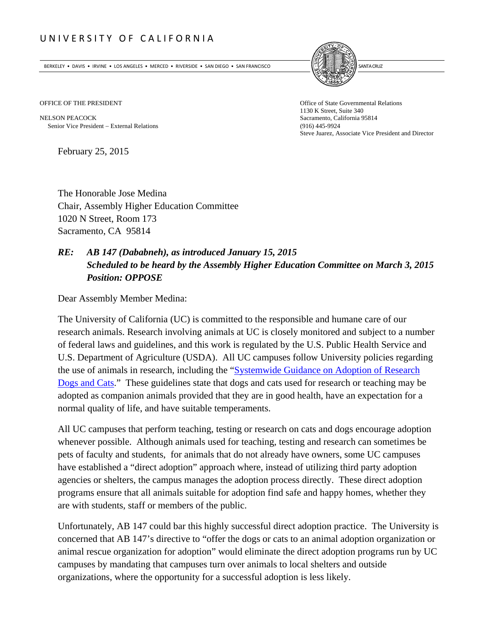## UNIVERSITY OF CALIFORNIA

BERKELEY • DAVIS • IRVINE • LOS ANGELES • MERCED • RIVERSIDE • SAN DIEGO • SAN FRANCISCO **INTERNATIONAL ENCOLOGI** 



NELSON PEACOCK Sacramento, California 95814 Senior Vice President External Relations (916) 445-9924

OFFICE OF THE PRESIDENT **Office of State Governmental Relations** 1130 K Street, Suite 340 Steve Juarez, Associate Vice President and Director

February 25, 2015

The Honorable Jose Medina Chair, Assembly Higher Education Committee 1020 N Street, Room 173 Sacramento, CA 95814

## *RE: AB 147 (Dababneh), as introduced January 15, 2015 Scheduled to be heard by the Assembly Higher Education Committee on March 3, 2015 Position: OPPOSE*

Dear Assembly Member Medina:

The University of California (UC) is committed to the responsible and humane care of our research animals. Research involving animals at UC is closely monitored and subject to a number of federal laws and guidelines, and this work is regulated by the U.S. Public Health Service and U.S. Department of Agriculture (USDA). All UC campuses follow University policies regarding the use of animals in research, including the "Systemwide Guidance on Adoption of Research Dogs and Cats." These guidelines state that dogs and cats used for research or teaching may be adopted as companion animals provided that they are in good health, have an expectation for a normal quality of life, and have suitable temperaments.

All UC campuses that perform teaching, testing or research on cats and dogs encourage adoption whenever possible. Although animals used for teaching, testing and research can sometimes be pets of faculty and students, for animals that do not already have owners, some UC campuses have established a "direct adoption" approach where, instead of utilizing third party adoption agencies or shelters, the campus manages the adoption process directly. These direct adoption programs ensure that all animals suitable for adoption find safe and happy homes, whether they are with students, staff or members of the public.

Unfortunately, AB 147 could bar this highly successful direct adoption practice. The University is concerned that AB 147's directive to "offer the dogs or cats to an animal adoption organization or animal rescue organization for adoption" would eliminate the direct adoption programs run by UC campuses by mandating that campuses turn over animals to local shelters and outside organizations, where the opportunity for a successful adoption is less likely.